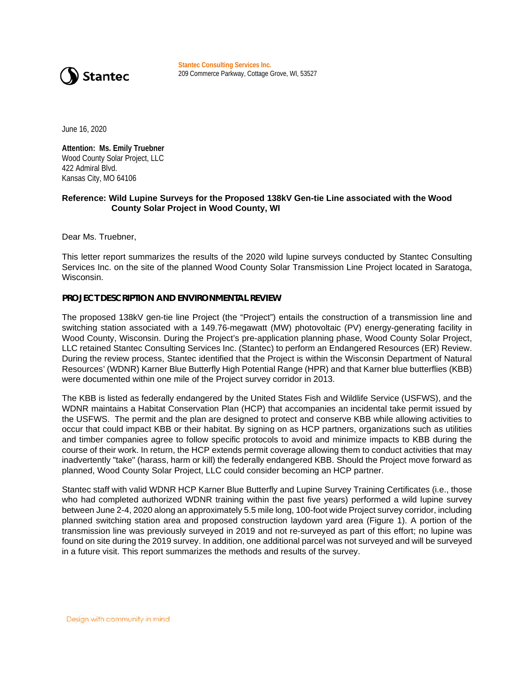

**Stantec Consulting Services Inc.** 209 Commerce Parkway, Cottage Grove, WI, 53527

June 16, 2020

**Attention: Ms. Emily Truebner**  Wood County Solar Project, LLC 422 Admiral Blvd. Kansas City, MO 64106

#### **Reference: Wild Lupine Surveys for the Proposed 138kV Gen-tie Line associated with the Wood County Solar Project in Wood County, WI**

Dear Ms. Truebner,

This letter report summarizes the results of the 2020 wild lupine surveys conducted by Stantec Consulting Services Inc. on the site of the planned Wood County Solar Transmission Line Project located in Saratoga, Wisconsin.

#### **PROJECT DESCRIPTION AND ENVIRONMENTAL REVIEW**

The proposed 138kV gen-tie line Project (the "Project") entails the construction of a transmission line and switching station associated with a 149.76-megawatt (MW) photovoltaic (PV) energy-generating facility in Wood County, Wisconsin. During the Project's pre-application planning phase, Wood County Solar Project, LLC retained Stantec Consulting Services Inc. (Stantec) to perform an Endangered Resources (ER) Review. During the review process, Stantec identified that the Project is within the Wisconsin Department of Natural Resources' (WDNR) Karner Blue Butterfly High Potential Range (HPR) and that Karner blue butterflies (KBB) were documented within one mile of the Project survey corridor in 2013.

The KBB is listed as federally endangered by the United States Fish and Wildlife Service (USFWS), and the WDNR maintains a Habitat Conservation Plan (HCP) that accompanies an incidental take permit issued by the USFWS. The permit and the plan are designed to protect and conserve KBB while allowing activities to occur that could impact KBB or their habitat. By signing on as HCP partners, organizations such as utilities and timber companies agree to follow specific protocols to avoid and minimize impacts to KBB during the course of their work. In return, the HCP extends permit coverage allowing them to conduct activities that may inadvertently "take" (harass, harm or kill) the federally endangered KBB. Should the Project move forward as planned, Wood County Solar Project, LLC could consider becoming an HCP partner.

Stantec staff with valid WDNR HCP Karner Blue Butterfly and Lupine Survey Training Certificates (i.e., those who had completed authorized WDNR training within the past five years) performed a wild lupine survey between June 2-4, 2020 along an approximately 5.5 mile long, 100-foot wide Project survey corridor, including planned switching station area and proposed construction laydown yard area (Figure 1). A portion of the transmission line was previously surveyed in 2019 and not re-surveyed as part of this effort; no lupine was found on site during the 2019 survey. In addition, one additional parcel was not surveyed and will be surveyed in a future visit. This report summarizes the methods and results of the survey.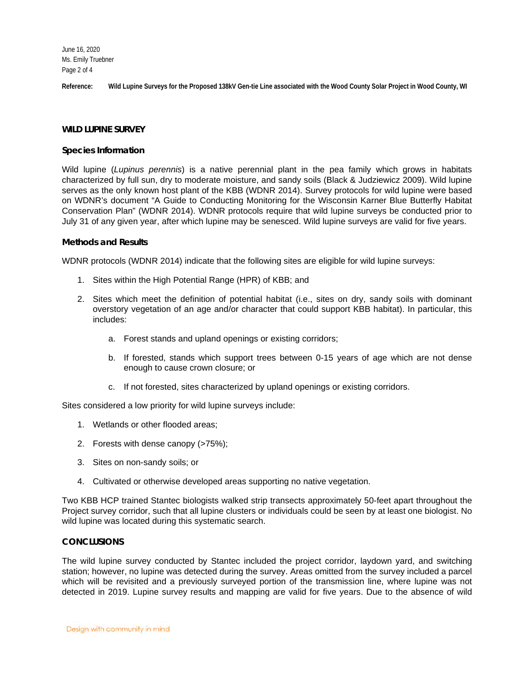June 16, 2020 Ms. Emily Truebner Page 2 of 4

**Reference: Wild Lupine Surveys for the Proposed 138kV Gen-tie Line associated with the Wood County Solar Project in Wood County, WI**

#### **WILD LUPINE SURVEY**

#### **Species Information**

Wild lupine (*Lupinus perennis*) is a native perennial plant in the pea family which grows in habitats characterized by full sun, dry to moderate moisture, and sandy soils (Black & Judziewicz 2009). Wild lupine serves as the only known host plant of the KBB (WDNR 2014). Survey protocols for wild lupine were based on WDNR's document "A Guide to Conducting Monitoring for the Wisconsin Karner Blue Butterfly Habitat Conservation Plan" (WDNR 2014). WDNR protocols require that wild lupine surveys be conducted prior to July 31 of any given year, after which lupine may be senesced. Wild lupine surveys are valid for five years.

#### **Methods and Results**

WDNR protocols (WDNR 2014) indicate that the following sites are eligible for wild lupine surveys:

- 1. Sites within the High Potential Range (HPR) of KBB; and
- 2. Sites which meet the definition of potential habitat (i.e., sites on dry, sandy soils with dominant overstory vegetation of an age and/or character that could support KBB habitat). In particular, this includes:
	- a. Forest stands and upland openings or existing corridors;
	- b. If forested, stands which support trees between 0-15 years of age which are not dense enough to cause crown closure; or
	- c. If not forested, sites characterized by upland openings or existing corridors.

Sites considered a low priority for wild lupine surveys include:

- 1. Wetlands or other flooded areas;
- 2. Forests with dense canopy (>75%);
- 3. Sites on non-sandy soils; or
- 4. Cultivated or otherwise developed areas supporting no native vegetation.

Two KBB HCP trained Stantec biologists walked strip transects approximately 50-feet apart throughout the Project survey corridor, such that all lupine clusters or individuals could be seen by at least one biologist. No wild lupine was located during this systematic search.

#### **CONCLUSIONS**

The wild lupine survey conducted by Stantec included the project corridor, laydown yard, and switching station; however, no lupine was detected during the survey. Areas omitted from the survey included a parcel which will be revisited and a previously surveyed portion of the transmission line, where lupine was not detected in 2019. Lupine survey results and mapping are valid for five years. Due to the absence of wild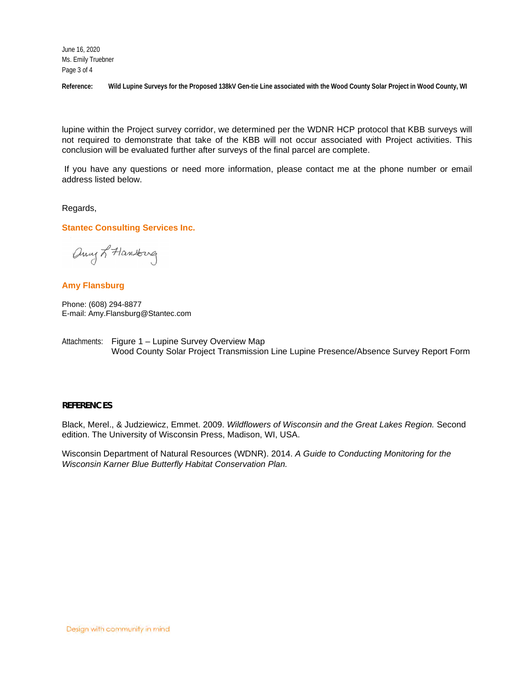June 16, 2020 Ms. Emily Truebner Page 3 of 4

**Reference: Wild Lupine Surveys for the Proposed 138kV Gen-tie Line associated with the Wood County Solar Project in Wood County, WI**

lupine within the Project survey corridor, we determined per the WDNR HCP protocol that KBB surveys will not required to demonstrate that take of the KBB will not occur associated with Project activities. This conclusion will be evaluated further after surveys of the final parcel are complete.

If you have any questions or need more information, please contact me at the phone number or email address listed below.

Regards,

**Stantec Consulting Services Inc.**

any L Hansburg

### **Amy Flansburg**

Phone: (608) 294-8877 E-mail: Amy.Flansburg@Stantec.com

Attachments: Figure 1 – Lupine Survey Overview Map Wood County Solar Project Transmission Line Lupine Presence/Absence Survey Report Form

#### **REFERENCES**

Black, Merel., & Judziewicz, Emmet. 2009. *Wildflowers of Wisconsin and the Great Lakes Region.* Second edition. The University of Wisconsin Press, Madison, WI, USA.

Wisconsin Department of Natural Resources (WDNR). 2014. *A Guide to Conducting Monitoring for the Wisconsin Karner Blue Butterfly Habitat Conservation Plan.*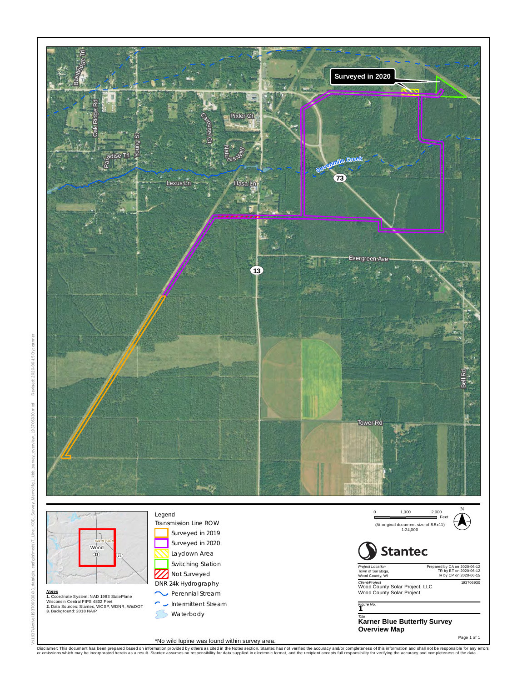

Disclaimer. This document has been prepared based on information provided by others as cited in the Notes section. Stantec has not verified the accuracy and/or completeness of this information and shall not complete and sh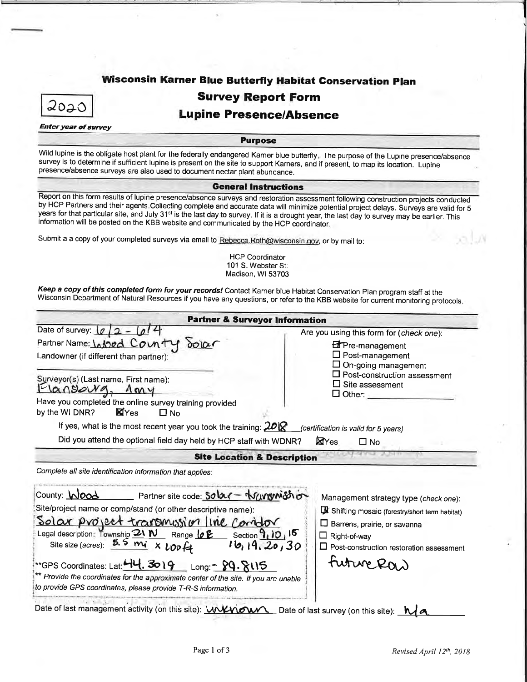# Wisconsin Karner Blue Butterfly Habitat Conservation Plan



## **Survey Report Form**

### **Lupine Presence/Absence**

**Enter year of survey** 

**Purpose** 

Wild lupine is the obligate host plant for the federally endangered Kamer blue butterfly. The purpose of the Lupine presence/absence survey is to determine if sufficient lupine is present on the site to support Karners, and if present, to map its location. Lupine presence/absence surveys are also used to document nectar plant abundance.

#### **General Instructions**

Report on this form results of lupine presence/absence surveys and restoration assessment following construction projects conducted by HCP Partners and their agents Collecting complete and accurate data will minimize potential project delays. Surveys are valid for 5 years for that particular site, and July 31<sup>st</sup> is the last day to survey. If it is a drought year, the last day to survey may be earlier. This information will be posted on the KBB website and communicated by the HCP coordinator,

Submit a a copy of your completed surveys via email to Rebecca.Roth@wisconsin.gov, or by mail to:

**HCP Coordinator** 101 S. Webster St. Madison, WI 53703

Keep a copy of this completed form for your records! Contact Karner blue Habitat Conservation Plan program staff at the Wisconsin Department of Natural Resources if you have any questions, or refer to the KBB website for current monitoring protocols.

| <b>Partner &amp; Surveyor Information</b>                                                                                                                                                                                                                                                                                                                                                                                                                                                                                |                                                                                                                                                                                                                                                 |  |
|--------------------------------------------------------------------------------------------------------------------------------------------------------------------------------------------------------------------------------------------------------------------------------------------------------------------------------------------------------------------------------------------------------------------------------------------------------------------------------------------------------------------------|-------------------------------------------------------------------------------------------------------------------------------------------------------------------------------------------------------------------------------------------------|--|
| Date of survey: $\lceil \rho \rceil$ 2<br>Partner Name: Wood County<br>00100<br>Landowner (if different than partner):<br>Surveyor(s) (Last name, First name):<br>Iansowg<br>Amy<br>Have you completed the online survey training provided<br><b>X</b> Yes<br>by the WI DNR?<br>$\square$ No<br>If yes, what is the most recent year you took the training: $20\%$<br>Did you attend the optional field day held by HCP staff with WDNR?                                                                                 | Are you using this form for (check one):<br><b>Extra</b> -management<br>$\Box$ Post-management<br>On-going management<br>$\Box$ Post-construction assessment<br>$\Box$ Site assessment<br>$\Box$ Other:<br>(certification is valid for 5 years) |  |
| <b>Site Location &amp; Description</b><br>Complete all site identification information that applies:                                                                                                                                                                                                                                                                                                                                                                                                                     |                                                                                                                                                                                                                                                 |  |
| County: Wood<br>Partner site code: Solar - Nurgum Shot<br>Site/project name or comp/stand (or other descriptive name):<br>Solar project transmission line comodor<br>Legal description: Township 21 W Range 0 E Section 1, 10, 15<br>Site size (acres): $5.5 \text{ mi} \times \text{top}$<br>16, 19, 20, 30<br>**GPS Coordinates: Lat: 44. 3019 Long: 29. 8115<br>** Provide the coordinates for the approximate center of the site. If you are unable<br>to provide GPS coordinates, please provide T-R-S information. | Management strategy type (check one):<br>Shifting mosaic (forestry/short term habitat)<br>$\square$ Barrens, prairie, or savanna<br>$\Box$ Right-of-way<br>$\Box$ Post-construction restoration assessment<br>future Ras                        |  |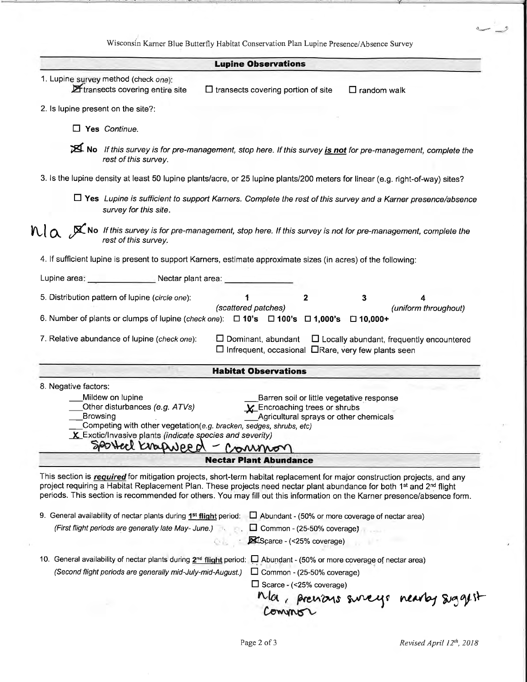Wisconsin Karner Blue Butterfly Habitat Conservation Plan Lupine Presence/Absence Survey

|                                                                                                                                    | <b>Lupine Observations</b>                                                                                                                                                                                                                                                                                                                                                               |
|------------------------------------------------------------------------------------------------------------------------------------|------------------------------------------------------------------------------------------------------------------------------------------------------------------------------------------------------------------------------------------------------------------------------------------------------------------------------------------------------------------------------------------|
| 1. Lupine survey method (check one):                                                                                               |                                                                                                                                                                                                                                                                                                                                                                                          |
| Etransects covering entire site                                                                                                    | $\Box$ transects covering portion of site<br>$\Box$ random walk                                                                                                                                                                                                                                                                                                                          |
| 2. Is lupine present on the site?:                                                                                                 |                                                                                                                                                                                                                                                                                                                                                                                          |
| $\Box$ Yes Continue.                                                                                                               |                                                                                                                                                                                                                                                                                                                                                                                          |
| rest of this survey.                                                                                                               | No If this survey is for pre-management, stop here. If this survey <i>is not</i> for pre-management, complete the                                                                                                                                                                                                                                                                        |
|                                                                                                                                    | 3. Is the lupine density at least 50 lupine plants/acre, or 25 lupine plants/200 meters for linear (e.g. right-of-way) sites?                                                                                                                                                                                                                                                            |
| survey for this site.                                                                                                              | $\Box$ Yes Lupine is sufficient to support Karners. Complete the rest of this survey and a Karner presence/absence                                                                                                                                                                                                                                                                       |
|                                                                                                                                    | $\mathbb{N}\setminus\alpha$ $\mathbb{X}$ No If this survey is for pre-management, stop here. If this survey is not for pre-management, complete the rest of this survey.                                                                                                                                                                                                                 |
| 4. If sufficient lupine is present to support Karners, estimate approximate sizes (in acres) of the following:                     |                                                                                                                                                                                                                                                                                                                                                                                          |
| Lupine area: Nectar plant area:                                                                                                    |                                                                                                                                                                                                                                                                                                                                                                                          |
| 5. Distribution pattern of lupine (circle one):                                                                                    | $\mathbf{2}$<br>3<br>1                                                                                                                                                                                                                                                                                                                                                                   |
| 6. Number of plants or clumps of lupine (check one): $\Box$ 10's $\Box$ 100's $\Box$ 1,000's                                       | (scattered patches)<br>(uniform throughout)<br>$\square$ 10,000+                                                                                                                                                                                                                                                                                                                         |
| 7. Relative abundance of lupine (check one):                                                                                       | $\square$ Dominant, abundant<br>$\Box$ Locally abundant, frequently encountered<br>□ Infrequent, occasional □Rare, very few plants seen                                                                                                                                                                                                                                                  |
|                                                                                                                                    | <b>Habitat Observations</b>                                                                                                                                                                                                                                                                                                                                                              |
| 8. Negative factors:                                                                                                               |                                                                                                                                                                                                                                                                                                                                                                                          |
| Mildew on lupine                                                                                                                   | Barren soil or little vegetative response                                                                                                                                                                                                                                                                                                                                                |
| Other disturbances (e.g. ATVs)                                                                                                     | $\mathbf{\chi}$ Encroaching trees or shrubs                                                                                                                                                                                                                                                                                                                                              |
| Browsing<br>Competing with other vegetation(e.g. bracken, sedges, shrubs, etc)                                                     | Agricultural sprays or other chemicals                                                                                                                                                                                                                                                                                                                                                   |
| <b>X</b> Exotic/Invasive plants (indicate species and severity)                                                                    |                                                                                                                                                                                                                                                                                                                                                                                          |
| SPOLLER KNOWLAPP Of                                                                                                                | Common                                                                                                                                                                                                                                                                                                                                                                                   |
|                                                                                                                                    | <b>Nectar Plant Abundance</b>                                                                                                                                                                                                                                                                                                                                                            |
|                                                                                                                                    | This section is required for mitigation projects, short-term habitat replacement for major construction projects, and any<br>project requiring a Habitat Replacement Plan. These projects need nectar plant abundance for both 1st and 2 <sup>nd</sup> flight<br>periods. This section is recommended for others. You may fill out this information on the Karner presence/absence form. |
| 9. General availability of nectar plants during $1^{st}$ flight period: $\Box$ Abundant - (50% or more coverage of nectar area)    |                                                                                                                                                                                                                                                                                                                                                                                          |
| (First flight periods are generally late May-June.)                                                                                | Common - (25-50% coverage)                                                                                                                                                                                                                                                                                                                                                               |
|                                                                                                                                    | Scarce - (<25% coverage)                                                                                                                                                                                                                                                                                                                                                                 |
| 10. General availability of nectar plants during 2 <sup>nd</sup> flight period: [ Abundant - (50% or more coverage of nectar area) |                                                                                                                                                                                                                                                                                                                                                                                          |
| (Second flight periods are generally mid-July-mid-August.)                                                                         | $\Box$ Common - (25-50% coverage)                                                                                                                                                                                                                                                                                                                                                        |
|                                                                                                                                    | $\Box$ Scarce - (<25% coverage)                                                                                                                                                                                                                                                                                                                                                          |
|                                                                                                                                    |                                                                                                                                                                                                                                                                                                                                                                                          |
|                                                                                                                                    | Ma, prenons sureys nearby siggest                                                                                                                                                                                                                                                                                                                                                        |

 $\overline{\phantom{a}}$